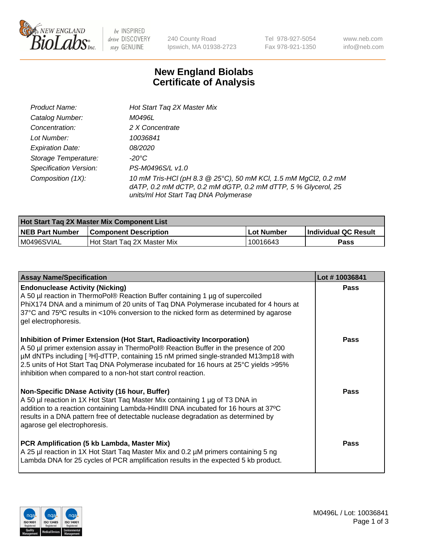

be INSPIRED drive DISCOVERY stay GENUINE

240 County Road Ipswich, MA 01938-2723 Tel 978-927-5054 Fax 978-921-1350 www.neb.com info@neb.com

## **New England Biolabs Certificate of Analysis**

| Product Name:           | Hot Start Tag 2X Master Mix                                                                                                                                               |
|-------------------------|---------------------------------------------------------------------------------------------------------------------------------------------------------------------------|
| Catalog Number:         | M0496L                                                                                                                                                                    |
| Concentration:          | 2 X Concentrate                                                                                                                                                           |
| Lot Number:             | 10036841                                                                                                                                                                  |
| <b>Expiration Date:</b> | <i>08/2020</i>                                                                                                                                                            |
| Storage Temperature:    | -20°C                                                                                                                                                                     |
| Specification Version:  | PS-M0496S/L v1.0                                                                                                                                                          |
| Composition (1X):       | 10 mM Tris-HCl (pH 8.3 @ 25°C), 50 mM KCl, 1.5 mM MgCl2, 0.2 mM<br>dATP, 0.2 mM dCTP, 0.2 mM dGTP, 0.2 mM dTTP, 5 % Glycerol, 25<br>units/ml Hot Start Taq DNA Polymerase |

| Hot Start Tag 2X Master Mix Component List |                               |             |                      |  |
|--------------------------------------------|-------------------------------|-------------|----------------------|--|
| <b>NEB Part Number</b>                     | <b>Component Description</b>  | ∣Lot Number | Individual QC Result |  |
| M0496SVIAL                                 | l Hot Start Tag 2X Master Mix | 10016643    | Pass                 |  |

| <b>Assay Name/Specification</b>                                                                                                                                                                                                                                                                                                                                                                                | Lot #10036841 |
|----------------------------------------------------------------------------------------------------------------------------------------------------------------------------------------------------------------------------------------------------------------------------------------------------------------------------------------------------------------------------------------------------------------|---------------|
| <b>Endonuclease Activity (Nicking)</b><br>A 50 µl reaction in ThermoPol® Reaction Buffer containing 1 µg of supercoiled<br>PhiX174 DNA and a minimum of 20 units of Tag DNA Polymerase incubated for 4 hours at<br>37°C and 75°C results in <10% conversion to the nicked form as determined by agarose<br>gel electrophoresis.                                                                                | <b>Pass</b>   |
| Inhibition of Primer Extension (Hot Start, Radioactivity Incorporation)<br>A 50 µl primer extension assay in ThermoPol® Reaction Buffer in the presence of 200<br>µM dNTPs including [3H]-dTTP, containing 15 nM primed single-stranded M13mp18 with<br>2.5 units of Hot Start Taq DNA Polymerase incubated for 16 hours at 25°C yields > 95%<br>inhibition when compared to a non-hot start control reaction. | Pass          |
| <b>Non-Specific DNase Activity (16 hour, Buffer)</b><br>A 50 µl reaction in 1X Hot Start Taq Master Mix containing 1 µg of T3 DNA in<br>addition to a reaction containing Lambda-HindIII DNA incubated for 16 hours at 37°C<br>results in a DNA pattern free of detectable nuclease degradation as determined by<br>agarose gel electrophoresis.                                                               | Pass          |
| PCR Amplification (5 kb Lambda, Master Mix)<br>A 25 µl reaction in 1X Hot Start Taq Master Mix and 0.2 µM primers containing 5 ng<br>Lambda DNA for 25 cycles of PCR amplification results in the expected 5 kb product.                                                                                                                                                                                       | Pass          |

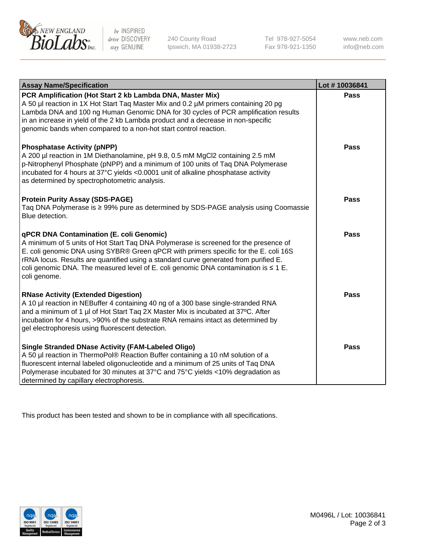

 $be$  INSPIRED drive DISCOVERY stay GENUINE

240 County Road Ipswich, MA 01938-2723 Tel 978-927-5054 Fax 978-921-1350 www.neb.com info@neb.com

| <b>Assay Name/Specification</b>                                                                                                                                                                                                                                                                                                                                                                                                     | Lot #10036841 |
|-------------------------------------------------------------------------------------------------------------------------------------------------------------------------------------------------------------------------------------------------------------------------------------------------------------------------------------------------------------------------------------------------------------------------------------|---------------|
| PCR Amplification (Hot Start 2 kb Lambda DNA, Master Mix)<br>A 50 µl reaction in 1X Hot Start Tag Master Mix and 0.2 µM primers containing 20 pg<br>Lambda DNA and 100 ng Human Genomic DNA for 30 cycles of PCR amplification results<br>in an increase in yield of the 2 kb Lambda product and a decrease in non-specific<br>genomic bands when compared to a non-hot start control reaction.                                     | <b>Pass</b>   |
| <b>Phosphatase Activity (pNPP)</b><br>A 200 µl reaction in 1M Diethanolamine, pH 9.8, 0.5 mM MgCl2 containing 2.5 mM<br>p-Nitrophenyl Phosphate (pNPP) and a minimum of 100 units of Taq DNA Polymerase<br>incubated for 4 hours at 37°C yields <0.0001 unit of alkaline phosphatase activity<br>as determined by spectrophotometric analysis.                                                                                      | <b>Pass</b>   |
| <b>Protein Purity Assay (SDS-PAGE)</b><br>Taq DNA Polymerase is ≥ 99% pure as determined by SDS-PAGE analysis using Coomassie<br>Blue detection.                                                                                                                                                                                                                                                                                    | <b>Pass</b>   |
| <b>qPCR DNA Contamination (E. coli Genomic)</b><br>A minimum of 5 units of Hot Start Tag DNA Polymerase is screened for the presence of<br>E. coli genomic DNA using SYBR® Green qPCR with primers specific for the E. coli 16S<br>rRNA locus. Results are quantified using a standard curve generated from purified E.<br>coli genomic DNA. The measured level of E. coli genomic DNA contamination is $\leq 1$ E.<br>coli genome. | <b>Pass</b>   |
| <b>RNase Activity (Extended Digestion)</b><br>A 10 µl reaction in NEBuffer 4 containing 40 ng of a 300 base single-stranded RNA<br>and a minimum of 1 µl of Hot Start Taq 2X Master Mix is incubated at 37°C. After<br>incubation for 4 hours, >90% of the substrate RNA remains intact as determined by<br>gel electrophoresis using fluorescent detection.                                                                        | <b>Pass</b>   |
| <b>Single Stranded DNase Activity (FAM-Labeled Oligo)</b><br>A 50 µl reaction in ThermoPol® Reaction Buffer containing a 10 nM solution of a<br>fluorescent internal labeled oligonucleotide and a minimum of 25 units of Taq DNA<br>Polymerase incubated for 30 minutes at 37°C and 75°C yields <10% degradation as<br>determined by capillary electrophoresis.                                                                    | Pass          |

This product has been tested and shown to be in compliance with all specifications.